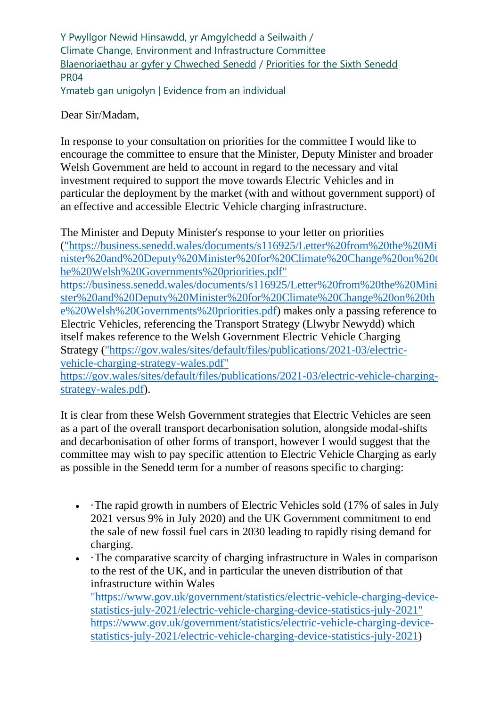Y Pwyllgor Newid Hinsawdd, yr Amgylchedd a Seilwaith / Climate Change, Environment and Infrastructure Committee [Blaenoriaethau ar gyfer y Chweched Senedd](https://busnes.senedd.cymru/mgConsultationDisplay.aspx?id=427&RPID=1026452002&cp=yes) / [Priorities for the Sixth Senedd](https://business.senedd.wales/mgConsultationDisplay.aspx?id=427&RPID=1026452002&cp=yes) PR04 Ymateb gan unigolyn | Evidence from an individual

Dear Sir/Madam,

In response to your consultation on priorities for the committee I would like to encourage the committee to ensure that the Minister, Deputy Minister and broader Welsh Government are held to account in regard to the necessary and vital investment required to support the move towards Electric Vehicles and in particular the deployment by the market (with and without government support) of an effective and accessible Electric Vehicle charging infrastructure.

The Minister and Deputy Minister's response to your letter on priorities [\("https://business.senedd.wales/documents/s116925/Letter%20from%20the%20Mi](%22https:/business.senedd.wales/documents/s116925/Letter%20from%20the%20Minister%20and%20Deputy%20Minister%20for%20Climate%20Change%20on%20the%20Welsh%20Governments%20priorities.pdf%22%20https:/business.senedd.wales/documents/s116925/Letter%20from%20the%20Minister%20and%20Deputy%20Minister%20for%20Climate%20Change%20on%20the%20Welsh%20Governments%20priorities.pdf) [nister%20and%20Deputy%20Minister%20for%20Climate%20Change%20on%20t](%22https:/business.senedd.wales/documents/s116925/Letter%20from%20the%20Minister%20and%20Deputy%20Minister%20for%20Climate%20Change%20on%20the%20Welsh%20Governments%20priorities.pdf%22%20https:/business.senedd.wales/documents/s116925/Letter%20from%20the%20Minister%20and%20Deputy%20Minister%20for%20Climate%20Change%20on%20the%20Welsh%20Governments%20priorities.pdf) [he%20Welsh%20Governments%20priorities.pdf"](%22https:/business.senedd.wales/documents/s116925/Letter%20from%20the%20Minister%20and%20Deputy%20Minister%20for%20Climate%20Change%20on%20the%20Welsh%20Governments%20priorities.pdf%22%20https:/business.senedd.wales/documents/s116925/Letter%20from%20the%20Minister%20and%20Deputy%20Minister%20for%20Climate%20Change%20on%20the%20Welsh%20Governments%20priorities.pdf)  [https://business.senedd.wales/documents/s116925/Letter%20from%20the%20Mini](%22https:/business.senedd.wales/documents/s116925/Letter%20from%20the%20Minister%20and%20Deputy%20Minister%20for%20Climate%20Change%20on%20the%20Welsh%20Governments%20priorities.pdf%22%20https:/business.senedd.wales/documents/s116925/Letter%20from%20the%20Minister%20and%20Deputy%20Minister%20for%20Climate%20Change%20on%20the%20Welsh%20Governments%20priorities.pdf) [ster%20and%20Deputy%20Minister%20for%20Climate%20Change%20on%20th](%22https:/business.senedd.wales/documents/s116925/Letter%20from%20the%20Minister%20and%20Deputy%20Minister%20for%20Climate%20Change%20on%20the%20Welsh%20Governments%20priorities.pdf%22%20https:/business.senedd.wales/documents/s116925/Letter%20from%20the%20Minister%20and%20Deputy%20Minister%20for%20Climate%20Change%20on%20the%20Welsh%20Governments%20priorities.pdf) [e%20Welsh%20Governments%20priorities.pdf\)](%22https:/business.senedd.wales/documents/s116925/Letter%20from%20the%20Minister%20and%20Deputy%20Minister%20for%20Climate%20Change%20on%20the%20Welsh%20Governments%20priorities.pdf%22%20https:/business.senedd.wales/documents/s116925/Letter%20from%20the%20Minister%20and%20Deputy%20Minister%20for%20Climate%20Change%20on%20the%20Welsh%20Governments%20priorities.pdf) makes only a passing reference to Electric Vehicles, referencing the Transport Strategy (Llwybr Newydd) which itself makes reference to the Welsh Government Electric Vehicle Charging Strategy [\("https://gov.wales/sites/default/files/publications/2021-03/electric](%22https:/gov.wales/sites/default/files/publications/2021-03/electric-vehicle-charging-strategy-wales.pdf%22%20https:/gov.wales/sites/default/files/publications/2021-03/electric-vehicle-charging-strategy-wales.pdf)[vehicle-charging-strategy-wales.pdf"](%22https:/gov.wales/sites/default/files/publications/2021-03/electric-vehicle-charging-strategy-wales.pdf%22%20https:/gov.wales/sites/default/files/publications/2021-03/electric-vehicle-charging-strategy-wales.pdf) 

[https://gov.wales/sites/default/files/publications/2021-03/electric-vehicle-charging](%22https:/gov.wales/sites/default/files/publications/2021-03/electric-vehicle-charging-strategy-wales.pdf%22%20https:/gov.wales/sites/default/files/publications/2021-03/electric-vehicle-charging-strategy-wales.pdf)[strategy-wales.pdf\)](%22https:/gov.wales/sites/default/files/publications/2021-03/electric-vehicle-charging-strategy-wales.pdf%22%20https:/gov.wales/sites/default/files/publications/2021-03/electric-vehicle-charging-strategy-wales.pdf).

It is clear from these Welsh Government strategies that Electric Vehicles are seen as a part of the overall transport decarbonisation solution, alongside modal-shifts and decarbonisation of other forms of transport, however I would suggest that the committee may wish to pay specific attention to Electric Vehicle Charging as early as possible in the Senedd term for a number of reasons specific to charging:

- The rapid growth in numbers of Electric Vehicles sold (17% of sales in July 2021 versus 9% in July 2020) and the UK Government commitment to end the sale of new fossil fuel cars in 2030 leading to rapidly rising demand for charging.
- The comparative scarcity of charging infrastructure in Wales in comparison to the rest of the UK, and in particular the uneven distribution of that infrastructure within Wales ["https://www.gov.uk/government/statistics/electric-vehicle-charging-device](%22https:/www.gov.uk/government/statistics/electric-vehicle-charging-device-statistics-july-2021/electric-vehicle-charging-device-statistics-july-2021%22%20https:/www.gov.uk/government/statistics/electric-vehicle-charging-device-statistics-july-2021/electric-vehicle-charging-device-statistics-july-2021)[statistics-july-2021/electric-vehicle-charging-device-statistics-july-2021"](%22https:/www.gov.uk/government/statistics/electric-vehicle-charging-device-statistics-july-2021/electric-vehicle-charging-device-statistics-july-2021%22%20https:/www.gov.uk/government/statistics/electric-vehicle-charging-device-statistics-july-2021/electric-vehicle-charging-device-statistics-july-2021)  [https://www.gov.uk/government/statistics/electric-vehicle-charging-device](%22https:/www.gov.uk/government/statistics/electric-vehicle-charging-device-statistics-july-2021/electric-vehicle-charging-device-statistics-july-2021%22%20https:/www.gov.uk/government/statistics/electric-vehicle-charging-device-statistics-july-2021/electric-vehicle-charging-device-statistics-july-2021)[statistics-july-2021/electric-vehicle-charging-device-statistics-july-2021\)](%22https:/www.gov.uk/government/statistics/electric-vehicle-charging-device-statistics-july-2021/electric-vehicle-charging-device-statistics-july-2021%22%20https:/www.gov.uk/government/statistics/electric-vehicle-charging-device-statistics-july-2021/electric-vehicle-charging-device-statistics-july-2021)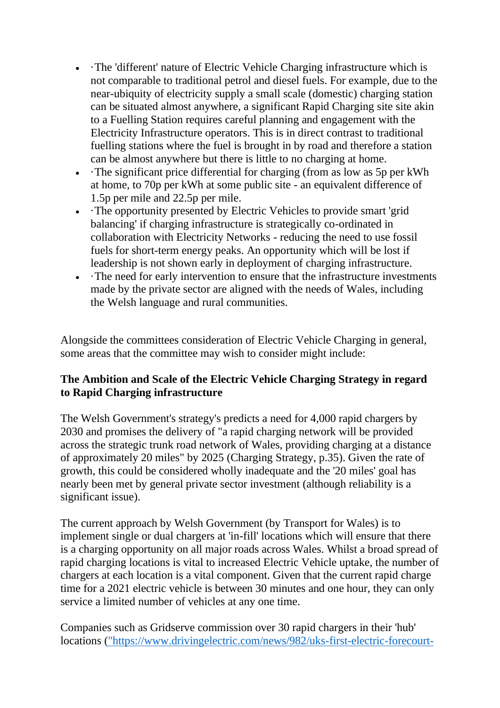- The 'different' nature of Electric Vehicle Charging infrastructure which is not comparable to traditional petrol and diesel fuels. For example, due to the near-ubiquity of electricity supply a small scale (domestic) charging station can be situated almost anywhere, a significant Rapid Charging site site akin to a Fuelling Station requires careful planning and engagement with the Electricity Infrastructure operators. This is in direct contrast to traditional fuelling stations where the fuel is brought in by road and therefore a station can be almost anywhere but there is little to no charging at home.
- The significant price differential for charging (from as low as 5p per kWh at home, to 70p per kWh at some public site - an equivalent difference of 1.5p per mile and 22.5p per mile.
- The opportunity presented by Electric Vehicles to provide smart 'grid balancing' if charging infrastructure is strategically co-ordinated in collaboration with Electricity Networks - reducing the need to use fossil fuels for short-term energy peaks. An opportunity which will be lost if leadership is not shown early in deployment of charging infrastructure.
- The need for early intervention to ensure that the infrastructure investments made by the private sector are aligned with the needs of Wales, including the Welsh language and rural communities.

Alongside the committees consideration of Electric Vehicle Charging in general, some areas that the committee may wish to consider might include:

## **The Ambition and Scale of the Electric Vehicle Charging Strategy in regard to Rapid Charging infrastructure**

The Welsh Government's strategy's predicts a need for 4,000 rapid chargers by 2030 and promises the delivery of "a rapid charging network will be provided across the strategic trunk road network of Wales, providing charging at a distance of approximately 20 miles" by 2025 (Charging Strategy, p.35). Given the rate of growth, this could be considered wholly inadequate and the '20 miles' goal has nearly been met by general private sector investment (although reliability is a significant issue).

The current approach by Welsh Government (by Transport for Wales) is to implement single or dual chargers at 'in-fill' locations which will ensure that there is a charging opportunity on all major roads across Wales. Whilst a broad spread of rapid charging locations is vital to increased Electric Vehicle uptake, the number of chargers at each location is a vital component. Given that the current rapid charge time for a 2021 electric vehicle is between 30 minutes and one hour, they can only service a limited number of vehicles at any one time.

Companies such as Gridserve commission over 30 rapid chargers in their 'hub' locations [\("https://www.drivingelectric.com/news/982/uks-first-electric-forecourt-](%22https:/www.drivingelectric.com/news/982/uks-first-electric-forecourt-open-november%22%20https:/www.drivingelectric.com/news/982/uks-first-electric-forecourt-open-november)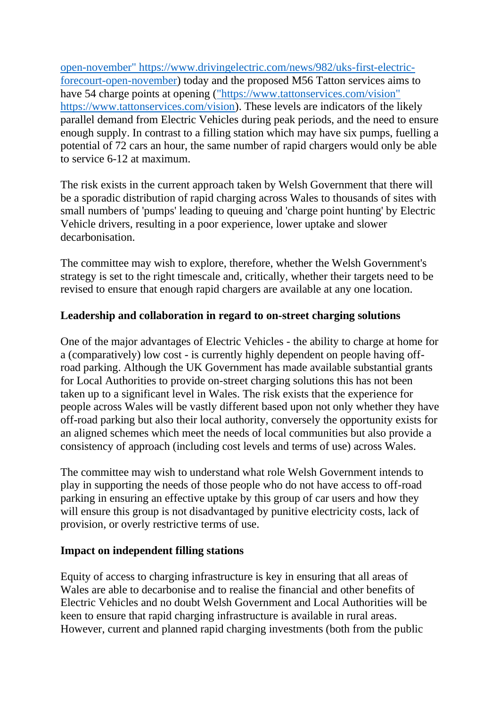[open-november" https://www.drivingelectric.com/news/982/uks-first-electric](%22https:/www.drivingelectric.com/news/982/uks-first-electric-forecourt-open-november%22%20https:/www.drivingelectric.com/news/982/uks-first-electric-forecourt-open-november)[forecourt-open-november\)](%22https:/www.drivingelectric.com/news/982/uks-first-electric-forecourt-open-november%22%20https:/www.drivingelectric.com/news/982/uks-first-electric-forecourt-open-november) today and the proposed M56 Tatton services aims to have 54 charge points at opening [\("https://www.tattonservices.com/vision"](%22https:/www.tattonservices.com/vision%22%20https:/www.tattonservices.com/vision)  [https://www.tattonservices.com/vision\)](%22https:/www.tattonservices.com/vision%22%20https:/www.tattonservices.com/vision). These levels are indicators of the likely parallel demand from Electric Vehicles during peak periods, and the need to ensure enough supply. In contrast to a filling station which may have six pumps, fuelling a potential of 72 cars an hour, the same number of rapid chargers would only be able to service 6-12 at maximum.

The risk exists in the current approach taken by Welsh Government that there will be a sporadic distribution of rapid charging across Wales to thousands of sites with small numbers of 'pumps' leading to queuing and 'charge point hunting' by Electric Vehicle drivers, resulting in a poor experience, lower uptake and slower decarbonisation.

The committee may wish to explore, therefore, whether the Welsh Government's strategy is set to the right timescale and, critically, whether their targets need to be revised to ensure that enough rapid chargers are available at any one location.

## **Leadership and collaboration in regard to on-street charging solutions**

One of the major advantages of Electric Vehicles - the ability to charge at home for a (comparatively) low cost - is currently highly dependent on people having offroad parking. Although the UK Government has made available substantial grants for Local Authorities to provide on-street charging solutions this has not been taken up to a significant level in Wales. The risk exists that the experience for people across Wales will be vastly different based upon not only whether they have off-road parking but also their local authority, conversely the opportunity exists for an aligned schemes which meet the needs of local communities but also provide a consistency of approach (including cost levels and terms of use) across Wales.

The committee may wish to understand what role Welsh Government intends to play in supporting the needs of those people who do not have access to off-road parking in ensuring an effective uptake by this group of car users and how they will ensure this group is not disadvantaged by punitive electricity costs, lack of provision, or overly restrictive terms of use.

## **Impact on independent filling stations**

Equity of access to charging infrastructure is key in ensuring that all areas of Wales are able to decarbonise and to realise the financial and other benefits of Electric Vehicles and no doubt Welsh Government and Local Authorities will be keen to ensure that rapid charging infrastructure is available in rural areas. However, current and planned rapid charging investments (both from the public